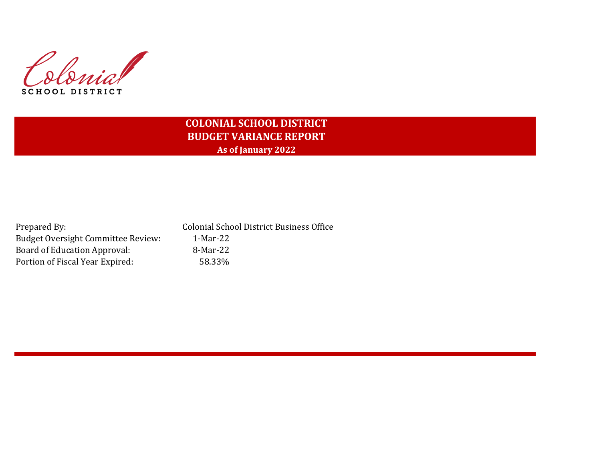Colonial SCHOOL DISTRICT

# **COLONIAL SCHOOL DISTRICT BUDGET VARIANCE REPORT As of January 2022**

| Prepared By:                              | <b>Colonial School District Business Office</b> |
|-------------------------------------------|-------------------------------------------------|
| <b>Budget Oversight Committee Review:</b> | 1-Mar-22                                        |
| Board of Education Approval:              | 8-Mar-22                                        |
| Portion of Fiscal Year Expired:           | 58.33%                                          |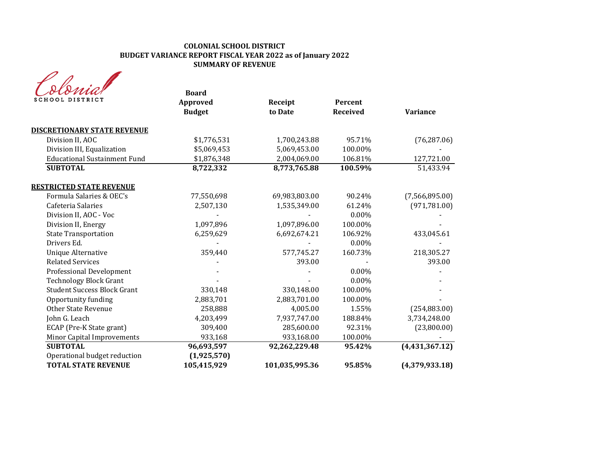| SCHOOL DISTRICT                     | <b>Board</b><br>Approved<br><b>Budget</b> | Receipt<br>to Date | Percent<br><b>Received</b> | <b>Variance</b> |
|-------------------------------------|-------------------------------------------|--------------------|----------------------------|-----------------|
| <b>DISCRETIONARY STATE REVENUE</b>  |                                           |                    |                            |                 |
| Division II, AOC                    | \$1,776,531                               | 1,700,243.88       | 95.71%                     | (76, 287.06)    |
| Division III, Equalization          | \$5,069,453                               | 5,069,453.00       | 100.00%                    |                 |
| <b>Educational Sustainment Fund</b> | \$1,876,348                               | 2,004,069.00       | 106.81%                    | 127,721.00      |
| <b>SUBTOTAL</b>                     | 8,722,332                                 | 8,773,765.88       | 100.59%                    | 51,433.94       |
| <b>RESTRICTED STATE REVENUE</b>     |                                           |                    |                            |                 |
| Formula Salaries & OEC's            | 77,550,698                                | 69,983,803.00      | 90.24%                     | (7,566,895.00)  |
| Cafeteria Salaries                  | 2,507,130                                 | 1,535,349.00       | 61.24%                     | (971, 781.00)   |
| Division II, AOC - Voc              |                                           |                    | $0.00\%$                   |                 |
| Division II, Energy                 | 1,097,896                                 | 1,097,896.00       | 100.00%                    |                 |
| <b>State Transportation</b>         | 6,259,629                                 | 6,692,674.21       | 106.92%                    | 433,045.61      |
| Drivers Ed.                         |                                           |                    | $0.00\%$                   |                 |
| <b>Unique Alternative</b>           | 359,440                                   | 577,745.27         | 160.73%                    | 218,305.27      |
| <b>Related Services</b>             |                                           | 393.00             |                            | 393.00          |
| <b>Professional Development</b>     |                                           |                    | $0.00\%$                   |                 |
| <b>Technology Block Grant</b>       |                                           |                    | 0.00%                      |                 |
| <b>Student Success Block Grant</b>  | 330,148                                   | 330,148.00         | 100.00%                    |                 |
| Opportunity funding                 | 2,883,701                                 | 2,883,701.00       | 100.00%                    |                 |
| <b>Other State Revenue</b>          | 258,888                                   | 4,005.00           | 1.55%                      | (254, 883.00)   |
| John G. Leach                       | 4,203,499                                 | 7,937,747.00       | 188.84%                    | 3,734,248.00    |
| ECAP (Pre-K State grant)            | 309,400                                   | 285,600.00         | 92.31%                     | (23,800.00)     |
| <b>Minor Capital Improvements</b>   | 933,168                                   | 933,168.00         | 100.00%                    |                 |
| <b>SUBTOTAL</b>                     | 96,693,597                                | 92,262,229.48      | 95.42%                     | (4,431,367.12)  |
| Operational budget reduction        | (1,925,570)                               |                    |                            |                 |
| <b>TOTAL STATE REVENUE</b>          | 105,415,929                               | 101,035,995.36     | 95.85%                     | (4,379,933.18)  |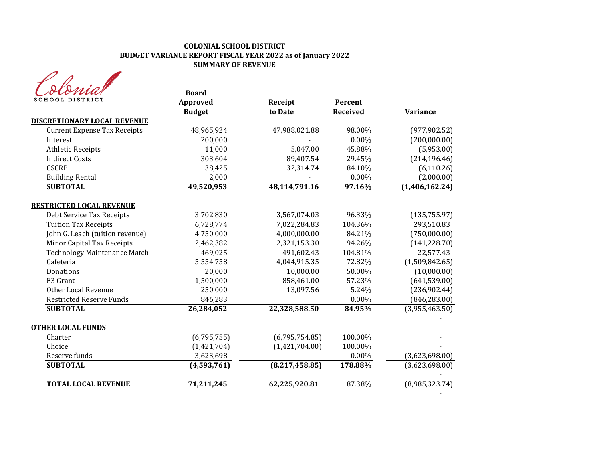| rnia            |  |
|-----------------|--|
| SCHOOL DISTRICT |  |

| ocon<br><b>SCHOOL DISTRICT</b>      | <b>Board</b><br><b>Approved</b> | Receipt          | Percent         |                 |
|-------------------------------------|---------------------------------|------------------|-----------------|-----------------|
|                                     | <b>Budget</b>                   | to Date          | <b>Received</b> | <b>Variance</b> |
| <b>DISCRETIONARY LOCAL REVENUE</b>  |                                 |                  |                 |                 |
| <b>Current Expense Tax Receipts</b> | 48,965,924                      | 47,988,021.88    | 98.00%          | (977, 902.52)   |
| Interest                            | 200,000                         |                  | $0.00\%$        | (200,000.00)    |
| <b>Athletic Receipts</b>            | 11,000                          | 5,047.00         | 45.88%          | (5,953.00)      |
| <b>Indirect Costs</b>               | 303,604                         | 89,407.54        | 29.45%          | (214, 196.46)   |
| <b>CSCRP</b>                        | 38,425                          | 32,314.74        | 84.10%          | (6, 110.26)     |
| <b>Building Rental</b>              | 2,000                           |                  | 0.00%           | (2,000.00)      |
| <b>SUBTOTAL</b>                     | 49,520,953                      | 48,114,791.16    | 97.16%          | (1,406,162.24)  |
| <b>RESTRICTED LOCAL REVENUE</b>     |                                 |                  |                 |                 |
| Debt Service Tax Receipts           | 3,702,830                       | 3,567,074.03     | 96.33%          | (135, 755.97)   |
| <b>Tuition Tax Receipts</b>         | 6,728,774                       | 7,022,284.83     | 104.36%         | 293,510.83      |
| John G. Leach (tuition revenue)     | 4,750,000                       | 4,000,000.00     | 84.21%          | (750,000.00)    |
| Minor Capital Tax Receipts          | 2,462,382                       | 2,321,153.30     | 94.26%          | (141, 228.70)   |
| <b>Technology Maintenance Match</b> | 469,025                         | 491,602.43       | 104.81%         | 22,577.43       |
| Cafeteria                           | 5,554,758                       | 4,044,915.35     | 72.82%          | (1,509,842.65)  |
| Donations                           | 20,000                          | 10,000.00        | 50.00%          | (10,000.00)     |
| E3 Grant                            | 1,500,000                       | 858,461.00       | 57.23%          | (641, 539.00)   |
| Other Local Revenue                 | 250,000                         | 13,097.56        | 5.24%           | (236,902.44)    |
| <b>Restricted Reserve Funds</b>     | 846,283                         |                  | $0.00\%$        | (846, 283.00)   |
| <b>SUBTOTAL</b>                     | 26,284,052                      | 22,328,588.50    | 84.95%          | (3,955,463.50)  |
| <b>OTHER LOCAL FUNDS</b>            |                                 |                  |                 |                 |
| Charter                             | (6,795,755)                     | (6,795,754.85)   | 100.00%         |                 |
| Choice                              | (1,421,704)                     | (1,421,704.00)   | 100.00%         |                 |
| Reserve funds                       | 3,623,698                       |                  | 0.00%           | (3,623,698.00)  |
| <b>SUBTOTAL</b>                     | (4,593,761)                     | (8, 217, 458.85) | 178.88%         | (3,623,698.00)  |
| <b>TOTAL LOCAL REVENUE</b>          | 71,211,245                      | 62,225,920.81    | 87.38%          | (8,985,323.74)  |
|                                     |                                 |                  |                 |                 |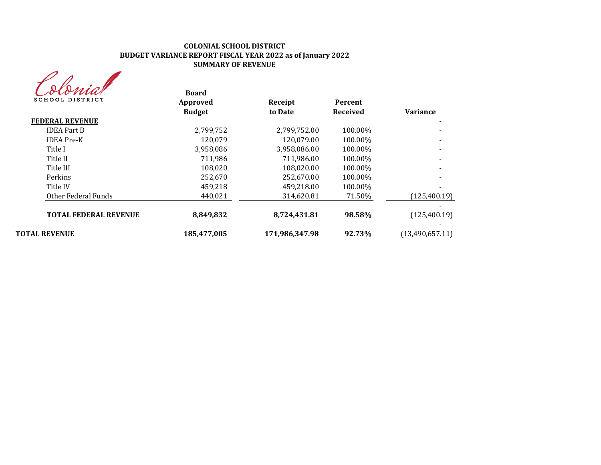| MA              |
|-----------------|
| SCHOOL DISTRICT |

| sionna<br><b>SCHOOL DISTRICT</b> | <b>Board</b><br>Approved | Receipt        | Percent<br><b>Received</b> | <b>Variance</b> |
|----------------------------------|--------------------------|----------------|----------------------------|-----------------|
| <b>FEDERAL REVENUE</b>           | <b>Budget</b>            | to Date        |                            |                 |
| <b>IDEA Part B</b>               | 2,799,752                | 2,799,752.00   | 100.00%                    |                 |
| <b>IDEA</b> Pre-K                | 120.079                  | 120,079.00     | 100.00%                    |                 |
| Title I                          | 3,958,086                | 3,958,086.00   | 100.00%                    |                 |
| Title II                         | 711.986                  | 711,986.00     | 100.00%                    |                 |
| Title III                        | 108.020                  | 108,020.00     | 100.00%                    |                 |
| Perkins                          | 252.670                  | 252.670.00     | 100.00%                    |                 |
| Title IV                         | 459,218                  | 459,218.00     | 100.00%                    |                 |
| Other Federal Funds              | 440,021                  | 314,620.81     | 71.50%                     | (125, 400.19)   |
| <b>TOTAL FEDERAL REVENUE</b>     | 8,849,832                | 8,724,431.81   | 98.58%                     | (125,400.19)    |
| <b>TOTAL REVENUE</b>             | 185,477,005              | 171.986.347.98 | 92.73%                     | (13,490,657.11) |
|                                  |                          |                |                            |                 |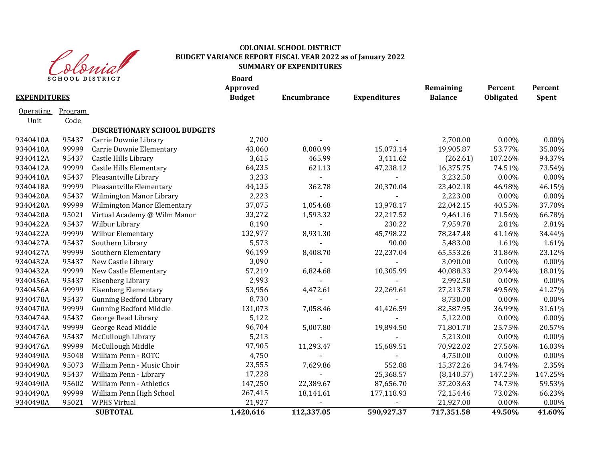

| <b>SCHOOL DISTRICT</b><br><b>EXPENDITURES</b> |         |                                     | <b>Board</b><br>Approved<br><b>Budget</b> | <b>Encumbrance</b> | <b>Expenditures</b> | Remaining<br><b>Balance</b> | Percent<br>Obligated | Percent<br>Spent |
|-----------------------------------------------|---------|-------------------------------------|-------------------------------------------|--------------------|---------------------|-----------------------------|----------------------|------------------|
|                                               |         |                                     |                                           |                    |                     |                             |                      |                  |
| <b>Operating</b>                              | Program |                                     |                                           |                    |                     |                             |                      |                  |
| Unit                                          | Code    |                                     |                                           |                    |                     |                             |                      |                  |
|                                               |         | <b>DISCRETIONARY SCHOOL BUDGETS</b> |                                           |                    |                     |                             |                      |                  |
| 9340410A                                      | 95437   | Carrie Downie Library               | 2,700                                     |                    |                     | 2,700.00                    | $0.00\%$             | 0.00%            |
| 9340410A                                      | 99999   | Carrie Downie Elementary            | 43,060                                    | 8,080.99           | 15,073.14           | 19,905.87                   | 53.77%               | 35.00%           |
| 9340412A                                      | 95437   | Castle Hills Library                | 3,615                                     | 465.99             | 3,411.62            | (262.61)                    | 107.26%              | 94.37%           |
| 9340412A                                      | 99999   | <b>Castle Hills Elementary</b>      | 64,235                                    | 621.13             | 47,238.12           | 16,375.75                   | 74.51%               | 73.54%           |
| 9340418A                                      | 95437   | Pleasantville Library               | 3,233                                     |                    |                     | 3,232.50                    | 0.00%                | 0.00%            |
| 9340418A                                      | 99999   | Pleasantville Elementary            | 44,135                                    | 362.78             | 20,370.04           | 23,402.18                   | 46.98%               | 46.15%           |
| 9340420A                                      | 95437   | Wilmington Manor Library            | 2,223                                     |                    |                     | 2,223.00                    | 0.00%                | 0.00%            |
| 9340420A                                      | 99999   | Wilmington Manor Elementary         | 37,075                                    | 1,054.68           | 13,978.17           | 22,042.15                   | 40.55%               | 37.70%           |
| 9340420A                                      | 95021   | Virtual Academy @ Wilm Manor        | 33,272                                    | 1,593.32           | 22,217.52           | 9,461.16                    | 71.56%               | 66.78%           |
| 9340422A                                      | 95437   | Wilbur Library                      | 8,190                                     |                    | 230.22              | 7,959.78                    | 2.81%                | 2.81%            |
| 9340422A                                      | 99999   | Wilbur Elementary                   | 132,977                                   | 8,931.30           | 45,798.22           | 78,247.48                   | 41.16%               | 34.44%           |
| 9340427A                                      | 95437   | Southern Library                    | 5,573                                     |                    | 90.00               | 5,483.00                    | 1.61%                | 1.61%            |
| 9340427A                                      | 99999   | Southern Elementary                 | 96,199                                    | 8,408.70           | 22,237.04           | 65,553.26                   | 31.86%               | 23.12%           |
| 9340432A                                      | 95437   | New Castle Library                  | 3,090                                     |                    |                     | 3,090.00                    | 0.00%                | 0.00%            |
| 9340432A                                      | 99999   | New Castle Elementary               | 57,219                                    | 6,824.68           | 10,305.99           | 40,088.33                   | 29.94%               | 18.01%           |
| 9340456A                                      | 95437   | Eisenberg Library                   | 2,993                                     |                    |                     | 2,992.50                    | 0.00%                | 0.00%            |
| 9340456A                                      | 99999   | <b>Eisenberg Elementary</b>         | 53,956                                    | 4,472.61           | 22,269.61           | 27,213.78                   | 49.56%               | 41.27%           |
| 9340470A                                      | 95437   | <b>Gunning Bedford Library</b>      | 8,730                                     |                    |                     | 8,730.00                    | 0.00%                | 0.00%            |
| 9340470A                                      | 99999   | <b>Gunning Bedford Middle</b>       | 131,073                                   | 7,058.46           | 41,426.59           | 82,587.95                   | 36.99%               | 31.61%           |
| 9340474A                                      | 95437   | George Read Library                 | 5,122                                     |                    |                     | 5,122.00                    | 0.00%                | 0.00%            |
| 9340474A                                      | 99999   | George Read Middle                  | 96,704                                    | 5,007.80           | 19,894.50           | 71,801.70                   | 25.75%               | 20.57%           |
| 9340476A                                      | 95437   | McCullough Library                  | 5,213                                     |                    |                     | 5,213.00                    | 0.00%                | 0.00%            |
| 9340476A                                      | 99999   | McCullough Middle                   | 97,905                                    | 11,293.47          | 15,689.51           | 70,922.02                   | 27.56%               | 16.03%           |
| 9340490A                                      | 95048   | William Penn - ROTC                 | 4,750                                     |                    |                     | 4,750.00                    | 0.00%                | 0.00%            |
| 9340490A                                      | 95073   | William Penn - Music Choir          | 23,555                                    | 7,629.86           | 552.88              | 15,372.26                   | 34.74%               | 2.35%            |
| 9340490A                                      | 95437   | William Penn - Library              | 17,228                                    |                    | 25,368.57           | (8, 140.57)                 | 147.25%              | 147.25%          |
| 9340490A                                      | 95602   | William Penn - Athletics            | 147,250                                   | 22,389.67          | 87,656.70           | 37,203.63                   | 74.73%               | 59.53%           |
| 9340490A                                      | 99999   | William Penn High School            | 267,415                                   | 18,141.61          | 177,118.93          | 72,154.46                   | 73.02%               | 66.23%           |
| 9340490A                                      | 95021   | <b>WPHS Virtual</b>                 | 21,927                                    |                    |                     | 21,927.00                   | 0.00%                | 0.00%            |
|                                               |         | <b>SUBTOTAL</b>                     | 1,420,616                                 | 112,337.05         | 590,927.37          | 717,351.58                  | 49.50%               | 41.60%           |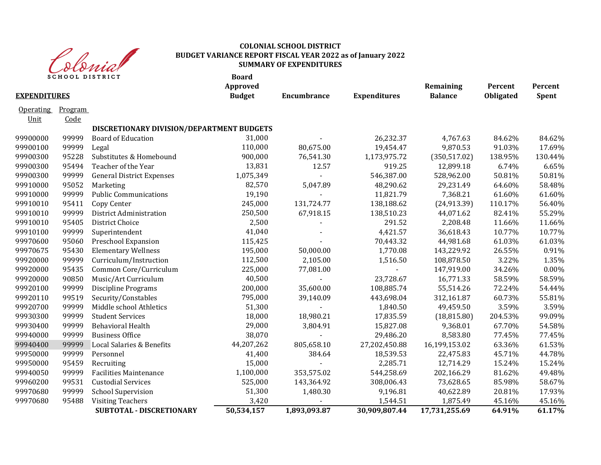

|                     | <b>SCHOOL DISTRICT</b> |                                           | <b>Board</b><br><b>Approved</b> |                    |                     | Remaining      | Percent   | Percent      |
|---------------------|------------------------|-------------------------------------------|---------------------------------|--------------------|---------------------|----------------|-----------|--------------|
| <b>EXPENDITURES</b> |                        |                                           | <b>Budget</b>                   | <b>Encumbrance</b> | <b>Expenditures</b> | <b>Balance</b> | Obligated | <b>Spent</b> |
| Operating           | Program                |                                           |                                 |                    |                     |                |           |              |
| <u>Unit</u>         | Code                   |                                           |                                 |                    |                     |                |           |              |
|                     |                        | DISCRETIONARY DIVISION/DEPARTMENT BUDGETS |                                 |                    |                     |                |           |              |
| 99900000            | 99999                  | <b>Board of Education</b>                 | 31,000                          |                    | 26,232.37           | 4,767.63       | 84.62%    | 84.62%       |
| 99900100            | 99999                  | Legal                                     | 110,000                         | 80,675.00          | 19,454.47           | 9,870.53       | 91.03%    | 17.69%       |
| 99900300            | 95228                  | Substitutes & Homebound                   | 900,000                         | 76,541.30          | 1,173,975.72        | (350, 517.02)  | 138.95%   | 130.44%      |
| 99900300            | 95494                  | Teacher of the Year                       | 13,831                          | 12.57              | 919.25              | 12,899.18      | 6.74%     | 6.65%        |
| 99900300            | 99999                  | <b>General District Expenses</b>          | 1,075,349                       |                    | 546,387.00          | 528,962.00     | 50.81%    | 50.81%       |
| 99910000            | 95052                  | Marketing                                 | 82,570                          | 5,047.89           | 48,290.62           | 29,231.49      | 64.60%    | 58.48%       |
| 99910000            | 99999                  | <b>Public Communications</b>              | 19,190                          |                    | 11,821.79           | 7,368.21       | 61.60%    | 61.60%       |
| 99910010            | 95411                  | Copy Center                               | 245,000                         | 131,724.77         | 138,188.62          | (24, 913.39)   | 110.17%   | 56.40%       |
| 99910010            | 99999                  | District Administration                   | 250,500                         | 67,918.15          | 138,510.23          | 44,071.62      | 82.41%    | 55.29%       |
| 99910010            | 95405                  | District Choice                           | 2,500                           |                    | 291.52              | 2,208.48       | 11.66%    | 11.66%       |
| 99910100            | 99999                  | Superintendent                            | 41,040                          |                    | 4,421.57            | 36,618.43      | 10.77%    | 10.77%       |
| 99970600            | 95060                  | Preschool Expansion                       | 115,425                         |                    | 70,443.32           | 44,981.68      | 61.03%    | 61.03%       |
| 99970675            | 95430                  | <b>Elementary Wellness</b>                | 195,000                         | 50,000.00          | 1,770.08            | 143,229.92     | 26.55%    | 0.91%        |
| 99920000            | 99999                  | Curriculum/Instruction                    | 112,500                         | 2,105.00           | 1,516.50            | 108,878.50     | 3.22%     | 1.35%        |
| 99920000            | 95435                  | Common Core/Curriculum                    | 225,000                         | 77,081.00          |                     | 147,919.00     | 34.26%    | 0.00%        |
| 99920000            | 90850                  | Music/Art Curriculum                      | 40,500                          |                    | 23,728.67           | 16,771.33      | 58.59%    | 58.59%       |
| 99920100            | 99999                  | <b>Discipline Programs</b>                | 200,000                         | 35,600.00          | 108,885.74          | 55,514.26      | 72.24%    | 54.44%       |
| 99920110            | 99519                  | Security/Constables                       | 795,000                         | 39,140.09          | 443,698.04          | 312,161.87     | 60.73%    | 55.81%       |
| 99920700            | 99999                  | Middle school Athletics                   | 51,300                          |                    | 1,840.50            | 49,459.50      | 3.59%     | 3.59%        |
| 99930300            | 99999                  | <b>Student Services</b>                   | 18,000                          | 18,980.21          | 17,835.59           | (18, 815.80)   | 204.53%   | 99.09%       |
| 99930400            | 99999                  | <b>Behavioral Health</b>                  | 29,000                          | 3,804.91           | 15,827.08           | 9,368.01       | 67.70%    | 54.58%       |
| 99940000            | 99999                  | <b>Business Office</b>                    | 38,070                          |                    | 29,486.20           | 8,583.80       | 77.45%    | 77.45%       |
| 99940400            | 99999                  | Local Salaries & Benefits                 | 44,207,262                      | 805,658.10         | 27,202,450.88       | 16,199,153.02  | 63.36%    | 61.53%       |
| 99950000            | 99999                  | Personnel                                 | 41,400                          | 384.64             | 18,539.53           | 22,475.83      | 45.71%    | 44.78%       |
| 99950000            | 95459                  | Recruiting                                | 15,000                          |                    | 2,285.71            | 12,714.29      | 15.24%    | 15.24%       |
| 99940050            | 99999                  | <b>Facilities Maintenance</b>             | 1,100,000                       | 353,575.02         | 544,258.69          | 202,166.29     | 81.62%    | 49.48%       |
| 99960200            | 99531                  | <b>Custodial Services</b>                 | 525,000                         | 143,364.92         | 308,006.43          | 73,628.65      | 85.98%    | 58.67%       |
| 99970680            | 99999                  | <b>School Supervision</b>                 | 51,300                          | 1,480.30           | 9,196.81            | 40,622.89      | 20.81%    | 17.93%       |
| 99970680            | 95488                  | <b>Visiting Teachers</b>                  | 3,420                           |                    | 1,544.51            | 1,875.49       | 45.16%    | 45.16%       |
|                     |                        | SUBTOTAL - DISCRETIONARY                  | 50,534,157                      | 1,893,093.87       | 30,909,807.44       | 17,731,255.69  | 64.91%    | 61.17%       |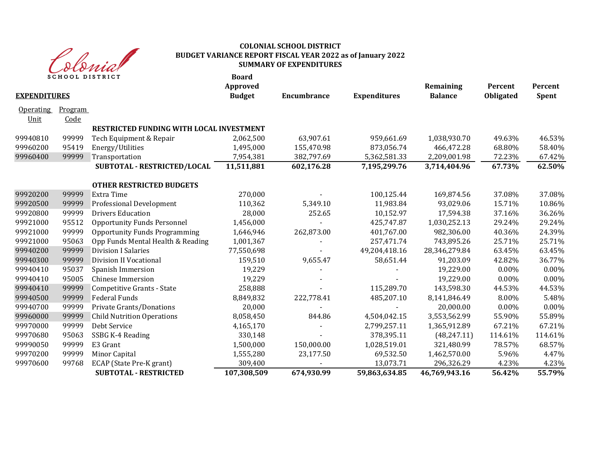

|                     | <b>SCHOOL DISTRICT</b> |                                          | <b>Board</b><br>Approved |             |                     | Remaining      | Percent          | Percent      |
|---------------------|------------------------|------------------------------------------|--------------------------|-------------|---------------------|----------------|------------------|--------------|
| <b>EXPENDITURES</b> |                        |                                          | <b>Budget</b>            | Encumbrance | <b>Expenditures</b> | <b>Balance</b> | <b>Obligated</b> | <b>Spent</b> |
| <b>Operating</b>    | Program                |                                          |                          |             |                     |                |                  |              |
| Unit                | Code                   |                                          |                          |             |                     |                |                  |              |
|                     |                        | RESTRICTED FUNDING WITH LOCAL INVESTMENT |                          |             |                     |                |                  |              |
| 99940810            | 99999                  | Tech Equipment & Repair                  | 2,062,500                | 63,907.61   | 959,661.69          | 1,038,930.70   | 49.63%           | 46.53%       |
| 99960200            | 95419                  | Energy/Utilities                         | 1,495,000                | 155,470.98  | 873,056.74          | 466,472.28     | 68.80%           | 58.40%       |
| 99960400            | 99999                  | Transportation                           | 7,954,381                | 382,797.69  | 5,362,581.33        | 2,209,001.98   | 72.23%           | 67.42%       |
|                     |                        | SUBTOTAL - RESTRICTED/LOCAL              | 11,511,881               | 602,176.28  | 7,195,299.76        | 3,714,404.96   | 67.73%           | 62.50%       |
|                     |                        | <b>OTHER RESTRICTED BUDGETS</b>          |                          |             |                     |                |                  |              |
| 99920200            | 99999                  | Extra Time                               | 270,000                  |             | 100,125.44          | 169,874.56     | 37.08%           | 37.08%       |
| 99920500            | 99999                  | <b>Professional Development</b>          | 110,362                  | 5,349.10    | 11,983.84           | 93,029.06      | 15.71%           | 10.86%       |
| 99920800            | 99999                  | <b>Drivers Education</b>                 | 28,000                   | 252.65      | 10,152.97           | 17,594.38      | 37.16%           | 36.26%       |
| 99921000            | 95512                  | <b>Opportunity Funds Personnel</b>       | 1,456,000                |             | 425,747.87          | 1,030,252.13   | 29.24%           | 29.24%       |
| 99921000            | 99999                  | <b>Opportunity Funds Programming</b>     | 1,646,946                | 262,873.00  | 401,767.00          | 982,306.00     | 40.36%           | 24.39%       |
| 99921000            | 95063                  | Opp Funds Mental Health & Reading        | 1,001,367                |             | 257,471.74          | 743,895.26     | 25.71%           | 25.71%       |
| 99940200            | 99999                  | <b>Division I Salaries</b>               | 77,550,698               |             | 49,204,418.16       | 28,346,279.84  | 63.45%           | 63.45%       |
| 99940300            | 99999                  | Division II Vocational                   | 159,510                  | 9,655.47    | 58,651.44           | 91,203.09      | 42.82%           | 36.77%       |
| 99940410            | 95037                  | Spanish Immersion                        | 19,229                   |             |                     | 19,229.00      | 0.00%            | 0.00%        |
| 99940410            | 95005                  | Chinese Immersion                        | 19,229                   |             |                     | 19,229.00      | 0.00%            | 0.00%        |
| 99940410            | 99999                  | Competitive Grants - State               | 258,888                  |             | 115,289.70          | 143,598.30     | 44.53%           | 44.53%       |
| 99940500            | 99999                  | <b>Federal Funds</b>                     | 8,849,832                | 222,778.41  | 485,207.10          | 8,141,846.49   | 8.00%            | 5.48%        |
| 99940700            | 99999                  | Private Grants/Donations                 | 20,000                   |             |                     | 20,000.00      | $0.00\%$         | 0.00%        |
| 99960000            | 99999                  | <b>Child Nutrition Operations</b>        | 8,058,450                | 844.86      | 4,504,042.15        | 3,553,562.99   | 55.90%           | 55.89%       |
| 99970000            | 99999                  | Debt Service                             | 4,165,170                |             | 2,799,257.11        | 1,365,912.89   | 67.21%           | 67.21%       |
| 99970680            | 95063                  | SSBG K-4 Reading                         | 330,148                  |             | 378,395.11          | (48, 247.11)   | 114.61%          | 114.61%      |
| 99990050            | 99999                  | E3 Grant                                 | 1,500,000                | 150,000.00  | 1,028,519.01        | 321,480.99     | 78.57%           | 68.57%       |
| 99970200            | 99999                  | Minor Capital                            | 1,555,280                | 23,177.50   | 69,532.50           | 1,462,570.00   | 5.96%            | 4.47%        |
| 99970600            | 99768                  | ECAP (State Pre-K grant)                 | 309,400                  |             | 13,073.71           | 296,326.29     | 4.23%            | 4.23%        |
|                     |                        | <b>SUBTOTAL - RESTRICTED</b>             | 107,308,509              | 674,930.99  | 59,863,634.85       | 46,769,943.16  | 56.42%           | 55.79%       |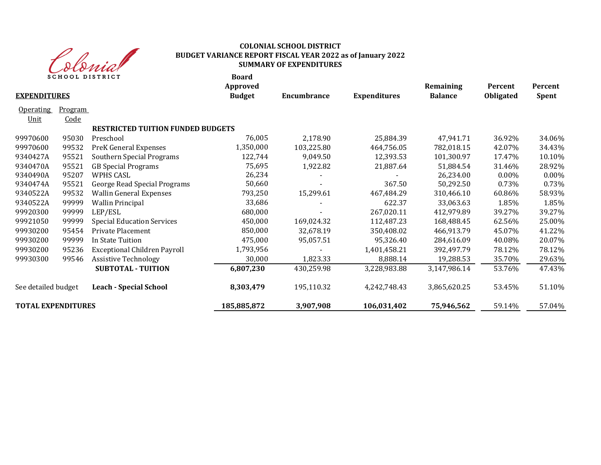

| <b>SCHOOL DISTRICT</b>    |                |                                          | <b>Board</b><br>Approved |             |                     | Remaining      | Percent          | Percent      |
|---------------------------|----------------|------------------------------------------|--------------------------|-------------|---------------------|----------------|------------------|--------------|
| <b>EXPENDITURES</b>       |                |                                          | <b>Budget</b>            | Encumbrance | <b>Expenditures</b> | <b>Balance</b> | <b>Obligated</b> | <b>Spent</b> |
| <b>Operating</b>          | <b>Program</b> |                                          |                          |             |                     |                |                  |              |
| Unit                      | <u>Code</u>    |                                          |                          |             |                     |                |                  |              |
|                           |                | <b>RESTRICTED TUITION FUNDED BUDGETS</b> |                          |             |                     |                |                  |              |
| 99970600                  | 95030          | Preschool                                | 76,005                   | 2,178.90    | 25,884.39           | 47,941.71      | 36.92%           | 34.06%       |
| 99970600                  | 99532          | PreK General Expenses                    | 1,350,000                | 103,225.80  | 464,756.05          | 782,018.15     | 42.07%           | 34.43%       |
| 9340427A                  | 95521          | Southern Special Programs                | 122,744                  | 9,049.50    | 12,393.53           | 101,300.97     | 17.47%           | 10.10%       |
| 9340470A                  | 95521          | <b>GB Special Programs</b>               | 75,695                   | 1,922.82    | 21,887.64           | 51,884.54      | 31.46%           | 28.92%       |
| 9340490A                  | 95207          | <b>WPHS CASL</b>                         | 26,234                   |             |                     | 26,234.00      | 0.00%            | 0.00%        |
| 9340474A                  | 95521          | George Read Special Programs             | 50,660                   |             | 367.50              | 50,292.50      | 0.73%            | 0.73%        |
| 9340522A                  | 99532          | <b>Wallin General Expenses</b>           | 793,250                  | 15,299.61   | 467,484.29          | 310,466.10     | 60.86%           | 58.93%       |
| 9340522A                  | 99999          | <b>Wallin Principal</b>                  | 33,686                   |             | 622.37              | 33,063.63      | 1.85%            | 1.85%        |
| 99920300                  | 99999          | LEP/ESL                                  | 680,000                  |             | 267,020.11          | 412,979.89     | 39.27%           | 39.27%       |
| 99921050                  | 99999          | <b>Special Education Services</b>        | 450,000                  | 169,024.32  | 112,487.23          | 168,488.45     | 62.56%           | 25.00%       |
| 99930200                  | 95454          | Private Placement                        | 850,000                  | 32,678.19   | 350,408.02          | 466,913.79     | 45.07%           | 41.22%       |
| 99930200                  | 99999          | In State Tuition                         | 475,000                  | 95,057.51   | 95,326.40           | 284,616.09     | 40.08%           | 20.07%       |
| 99930200                  | 95236          | <b>Exceptional Children Payroll</b>      | 1,793,956                |             | 1,401,458.21        | 392,497.79     | 78.12%           | 78.12%       |
| 99930300                  | 99546          | <b>Assistive Technology</b>              | 30,000                   | 1,823.33    | 8,888.14            | 19,288.53      | 35.70%           | 29.63%       |
|                           |                | <b>SUBTOTAL - TUITION</b>                | 6,807,230                | 430,259.98  | 3,228,983.88        | 3,147,986.14   | 53.76%           | 47.43%       |
| See detailed budget       |                | <b>Leach - Special School</b>            | 8,303,479                | 195,110.32  | 4,242,748.43        | 3,865,620.25   | 53.45%           | 51.10%       |
| <b>TOTAL EXPENDITURES</b> |                |                                          | 185,885,872              | 3,907,908   | 106,031,402         | 75,946,562     | 59.14%           | 57.04%       |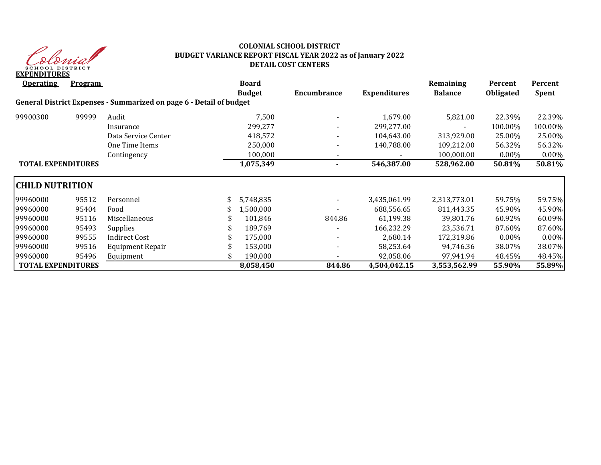

## **COLONIAL SCHOOL DISTRICT BUDGET VARIANCE REPORT FISCAL YEAR 2022 as of January 2022 DETAIL COST CENTERS**

| ели елеги отер<br><b>Operating</b> | <b>Program</b> |                                                                     | <b>Board</b><br><b>Budget</b> | Encumbrance              | <b>Expenditures</b> | Remaining<br><b>Balance</b> | Percent<br><b>Obligated</b> | Percent<br>Spent |
|------------------------------------|----------------|---------------------------------------------------------------------|-------------------------------|--------------------------|---------------------|-----------------------------|-----------------------------|------------------|
|                                    |                | General District Expenses - Summarized on page 6 - Detail of budget |                               |                          |                     |                             |                             |                  |
| 99900300                           | 99999          | Audit                                                               | 7,500                         |                          | 1,679.00            | 5,821.00                    | 22.39%                      | 22.39%           |
|                                    |                | Insurance                                                           | 299,277                       | $\overline{\phantom{0}}$ | 299,277.00          |                             | 100.00%                     | 100.00%          |
|                                    |                | Data Service Center                                                 | 418,572                       |                          | 104,643.00          | 313,929.00                  | 25.00%                      | 25.00%           |
|                                    |                | One Time Items                                                      | 250,000                       | -                        | 140,788.00          | 109,212.00                  | 56.32%                      | 56.32%           |
|                                    |                | Contingency                                                         | 100,000                       | $\overline{\phantom{a}}$ |                     | 100,000.00                  | $0.00\%$                    | $0.00\%$         |
| <b>TOTAL EXPENDITURES</b>          |                |                                                                     | 1,075,349                     | $\sim$                   | 546,387.00          | 528,962.00                  | 50.81%                      | 50.81%           |
| <b>CHILD NUTRITION</b>             |                |                                                                     |                               |                          |                     |                             |                             |                  |
| 99960000                           | 95512          | Personnel                                                           | 5,748,835                     |                          | 3,435,061.99        | 2,313,773.01                | 59.75%                      | 59.75%           |
| 99960000                           | 95404          | Food                                                                | 1,500,000                     |                          | 688,556.65          | 811,443.35                  | 45.90%                      | 45.90%           |
| 99960000                           | 95116          | Miscellaneous                                                       | 101,846                       | 844.86                   | 61,199.38           | 39,801.76                   | 60.92%                      | 60.09%           |
| 99960000                           | 95493          | <b>Supplies</b>                                                     | 189,769                       |                          | 166,232.29          | 23,536.71                   | 87.60%                      | 87.60%           |
| 99960000                           | 99555          | <b>Indirect Cost</b>                                                | 175,000                       |                          | 2,680.14            | 172,319.86                  | $0.00\%$                    | 0.00%            |
| 99960000                           | 99516          | Equipment Repair                                                    | 153,000                       |                          | 58,253.64           | 94,746.36                   | 38.07%                      | 38.07%           |
| 99960000                           | 95496          | Equipment                                                           | 190,000                       |                          | 92,058.06           | 97,941.94                   | 48.45%                      | 48.45%           |
| <b>TOTAL EXPENDITURES</b>          |                |                                                                     | 8,058,450                     | 844.86                   | 4,504,042.15        | 3,553,562.99                | 55.90%                      | 55.89%           |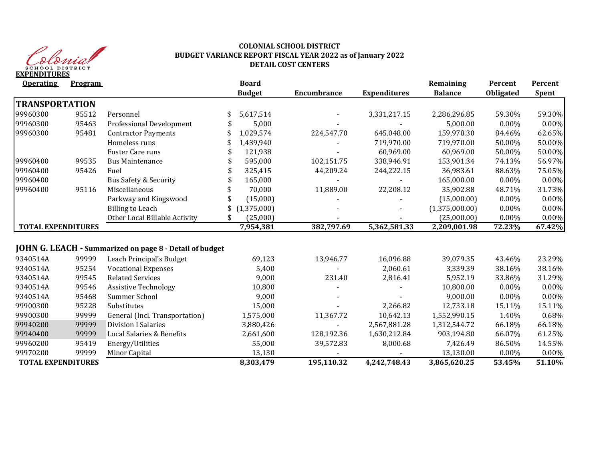

## **COLONIAL SCHOOL DISTRICT BUDGET VARIANCE REPORT FISCAL YEAR 2022 as of January 2022 DETAIL COST CENTERS**

| <b>Operating</b>          | <b>Program</b> |                                                         | <b>Board</b><br><b>Budget</b> | <b>Encumbrance</b> | <b>Expenditures</b> | Remaining<br><b>Balance</b> | Percent<br>Obligated | Percent<br><b>Spent</b> |
|---------------------------|----------------|---------------------------------------------------------|-------------------------------|--------------------|---------------------|-----------------------------|----------------------|-------------------------|
| <b>TRANSPORTATION</b>     |                |                                                         |                               |                    |                     |                             |                      |                         |
| 99960300                  | 95512          | Personnel                                               | 5,617,514                     |                    | 3,331,217.15        | 2,286,296.85                | 59.30%               | 59.30%                  |
| 99960300                  | 95463          | <b>Professional Development</b>                         | 5,000                         |                    |                     | 5.000.00                    | 0.00%                | 0.00%                   |
| 99960300                  | 95481          | <b>Contractor Payments</b>                              | 1,029,574                     | 224,547.70         | 645,048.00          | 159,978.30                  | 84.46%               | 62.65%                  |
|                           |                | Homeless runs                                           | 1,439,940                     |                    | 719,970.00          | 719,970.00                  | 50.00%               | 50.00%                  |
|                           |                | Foster Care runs                                        | 121,938                       |                    | 60,969.00           | 60,969.00                   | 50.00%               | 50.00%                  |
| 99960400                  | 99535          | <b>Bus Maintenance</b>                                  | 595,000                       | 102,151.75         | 338,946.91          | 153,901.34                  | 74.13%               | 56.97%                  |
| 99960400                  | 95426          | Fuel                                                    | 325,415                       | 44,209.24          | 244,222.15          | 36,983.61                   | 88.63%               | 75.05%                  |
| 99960400                  |                | <b>Bus Safety &amp; Security</b>                        | 165,000                       |                    |                     | 165,000.00                  | 0.00%                | $0.00\%$                |
| 99960400                  | 95116          | Miscellaneous                                           | 70,000                        | 11,889.00          | 22,208.12           | 35,902.88                   | 48.71%               | 31.73%                  |
|                           |                | Parkway and Kingswood                                   | (15,000)                      |                    |                     | (15,000.00)                 | 0.00%                | 0.00%                   |
|                           |                | <b>Billing to Leach</b>                                 | (1, 375, 000)                 |                    |                     | (1,375,000.00)              | 0.00%                | 0.00%                   |
|                           |                | Other Local Billable Activity                           | \$<br>(25,000)                |                    |                     | (25,000.00)                 | 0.00%                | 0.00%                   |
| <b>TOTAL EXPENDITURES</b> |                |                                                         | 7,954,381                     | 382,797.69         | 5,362,581.33        | 2,209,001.98                | 72.23%               | 67.42%                  |
|                           |                |                                                         |                               |                    |                     |                             |                      |                         |
|                           |                | JOHN G. LEACH - Summarized on page 8 - Detail of budget |                               |                    |                     |                             |                      |                         |
| 9340514A                  | 99999          | Leach Principal's Budget                                | 69,123                        | 13,946.77          | 16,096.88           | 39,079.35                   | 43.46%               | 23.29%                  |
| 9340514A                  | 95254          | <b>Vocational Expenses</b>                              | 5,400                         |                    | 2,060.61            | 3,339.39                    | 38.16%               | 38.16%                  |
| 9340514A                  | 99545          | <b>Related Services</b>                                 | 9,000                         | 231.40             | 2,816.41            | 5,952.19                    | 33.86%               | 31.29%                  |
| 9340514A                  | 99546          | <b>Assistive Technology</b>                             | 10,800                        |                    |                     | 10,800.00                   | 0.00%                | 0.00%                   |
| 9340514A                  | 95468          | Summer School                                           | 9,000                         |                    |                     | 9,000.00                    | $0.00\%$             | 0.00%                   |
| 99900300                  | 95228          | Substitutes                                             | 15,000                        |                    | 2,266.82            | 12,733.18                   | 15.11%               | 15.11%                  |
| 99900300                  | 99999          | General (Incl. Transportation)                          | 1,575,000                     | 11,367.72          | 10,642.13           | 1,552,990.15                | 1.40%                | 0.68%                   |
| 99940200                  | 99999          | <b>Division I Salaries</b>                              | 3,880,426                     |                    | 2,567,881.28        | 1,312,544.72                | 66.18%               | 66.18%                  |
| 99940400                  | 99999          | Local Salaries & Benefits                               | 2,661,600                     | 128,192.36         | 1,630,212.84        | 903,194.80                  | 66.07%               | 61.25%                  |
| 99960200                  | 95419          | Energy/Utilities                                        | 55,000                        | 39,572.83          | 8,000.68            | 7,426.49                    | 86.50%               | 14.55%                  |
| 99970200                  | 99999          | Minor Capital                                           | 13,130                        |                    |                     | 13,130.00                   | 0.00%                | 0.00%                   |
| <b>TOTAL EXPENDITURES</b> |                |                                                         | 8,303,479                     | 195,110.32         | 4,242,748.43        | 3,865,620.25                | 53.45%               | 51.10%                  |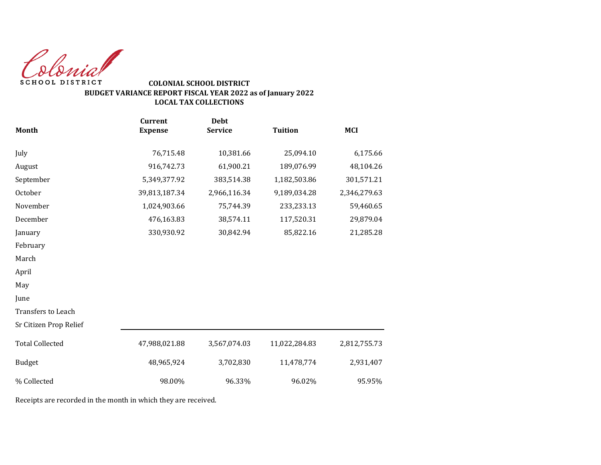Colonial SCHOOL DISTRICT

## **COLONIAL SCHOOL DISTRICT BUDGET VARIANCE REPORT FISCAL YEAR 2022 as of January 2022 LOCAL TAX COLLECTIONS**

|                        | <b>Current</b> | <b>Debt</b>    |                |              |
|------------------------|----------------|----------------|----------------|--------------|
| <b>Month</b>           | <b>Expense</b> | <b>Service</b> | <b>Tuition</b> | <b>MCI</b>   |
| July                   | 76,715.48      | 10,381.66      | 25,094.10      | 6,175.66     |
| August                 | 916,742.73     | 61,900.21      | 189,076.99     | 48,104.26    |
| September              | 5,349,377.92   | 383,514.38     | 1,182,503.86   | 301,571.21   |
| October                | 39,813,187.34  | 2,966,116.34   | 9,189,034.28   | 2,346,279.63 |
| November               | 1,024,903.66   | 75,744.39      | 233,233.13     | 59,460.65    |
| December               | 476,163.83     | 38,574.11      | 117,520.31     | 29,879.04    |
| January                | 330,930.92     | 30,842.94      | 85,822.16      | 21,285.28    |
| February               |                |                |                |              |
| March                  |                |                |                |              |
| April                  |                |                |                |              |
| May                    |                |                |                |              |
| June                   |                |                |                |              |
| Transfers to Leach     |                |                |                |              |
| Sr Citizen Prop Relief |                |                |                |              |
| <b>Total Collected</b> | 47,988,021.88  | 3,567,074.03   | 11,022,284.83  | 2,812,755.73 |
| <b>Budget</b>          | 48,965,924     | 3,702,830      | 11,478,774     | 2,931,407    |
| % Collected            | 98.00%         | 96.33%         | 96.02%         | 95.95%       |

Receipts are recorded in the month in which they are received.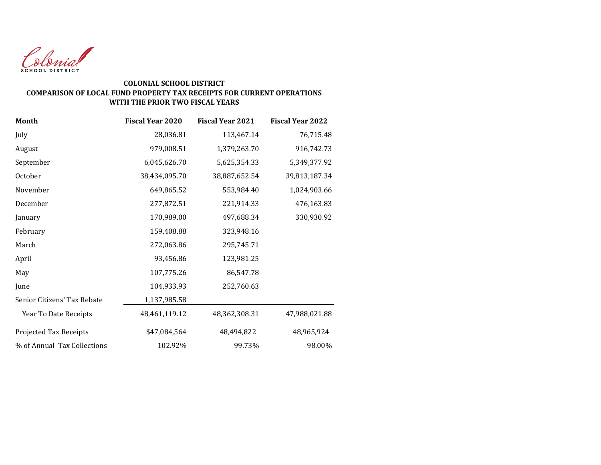

#### **COLONIAL SCHOOL DISTRICT COMPARISON OF LOCAL FUND PROPERTY TAX RECEIPTS FOR CURRENT OPERATIONS WITH THE PRIOR TWO FISCAL YEARS**

| Month                       | <b>Fiscal Year 2020</b> | <b>Fiscal Year 2021</b> | <b>Fiscal Year 2022</b> |
|-----------------------------|-------------------------|-------------------------|-------------------------|
| July                        | 28,036.81               | 113,467.14              | 76,715.48               |
| August                      | 979,008.51              | 1,379,263.70            | 916,742.73              |
| September                   | 6,045,626.70            | 5,625,354.33            | 5,349,377.92            |
| October                     | 38,434,095.70           | 38,887,652.54           | 39,813,187.34           |
| November                    | 649,865.52              | 553,984.40              | 1,024,903.66            |
| December                    | 277,872.51              | 221,914.33              | 476,163.83              |
| January                     | 170,989.00              | 497,688.34              | 330,930.92              |
| February                    | 159,408.88              | 323,948.16              |                         |
| March                       | 272,063.86              | 295,745.71              |                         |
| April                       | 93,456.86               | 123,981.25              |                         |
| May                         | 107,775.26              | 86,547.78               |                         |
| June                        | 104,933.93              | 252,760.63              |                         |
| Senior Citizens' Tax Rebate | 1,137,985.58            |                         |                         |
| Year To Date Receipts       | 48,461,119.12           | 48,362,308.31           | 47,988,021.88           |
| Projected Tax Receipts      | \$47,084,564            | 48,494,822              | 48,965,924              |
| % of Annual Tax Collections | 102.92%                 | 99.73%                  | 98.00%                  |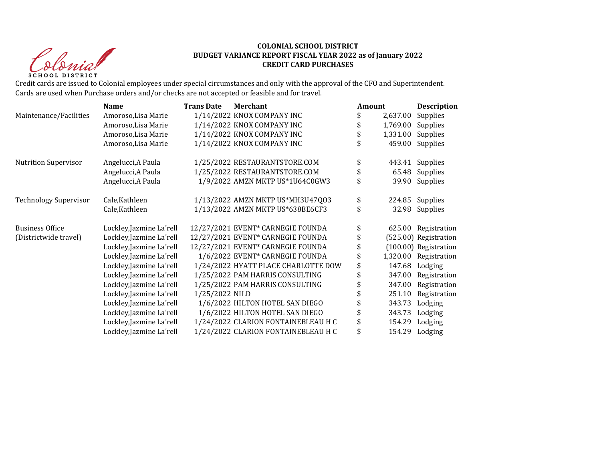Christ **SCHOOL DISTRICT** 

#### **COLONIAL SCHOOL DISTRICT BUDGET VARIANCE REPORT FISCAL YEAR 2022 as of January 2022 CREDIT CARD PURCHASES**

Credit cards are issued to Colonial employees under special circumstances and only with the approval of the CFO and Superintendent. Cards are used when Purchase orders and/or checks are not accepted or feasible and for travel.

|                              | <b>Name</b>              | <b>Trans Date</b> | <b>Merchant</b>                     | Amount |          | <b>Description</b>    |
|------------------------------|--------------------------|-------------------|-------------------------------------|--------|----------|-----------------------|
| Maintenance/Facilities       | Amoroso, Lisa Marie      |                   | 1/14/2022 KNOX COMPANY INC          | \$     | 2,637.00 | Supplies              |
|                              | Amoroso, Lisa Marie      |                   | 1/14/2022 KNOX COMPANY INC          | \$     | 1,769.00 | Supplies              |
|                              | Amoroso, Lisa Marie      |                   | 1/14/2022 KNOX COMPANY INC          | \$     | 1,331.00 | Supplies              |
|                              | Amoroso, Lisa Marie      |                   | 1/14/2022 KNOX COMPANY INC          | \$     | 459.00   | Supplies              |
| Nutrition Supervisor         | Angelucci, A Paula       |                   | 1/25/2022 RESTAURANTSTORE.COM       | \$     | 443.41   | Supplies              |
|                              | Angelucci, A Paula       |                   | 1/25/2022 RESTAURANTSTORE.COM       | \$     | 65.48    | Supplies              |
|                              | Angelucci, A Paula       |                   | 1/9/2022 AMZN MKTP US*1U64C0GW3     | \$     | 39.90    | Supplies              |
| <b>Technology Supervisor</b> | Cale, Kathleen           |                   | 1/13/2022 AMZN MKTP US*MH3U47Q03    | \$     | 224.85   | Supplies              |
|                              | Cale, Kathleen           |                   | 1/13/2022 AMZN MKTP US*638BE6CF3    | \$     | 32.98    | Supplies              |
| <b>Business Office</b>       | Lockley, Jazmine La'rell |                   | 12/27/2021 EVENT* CARNEGIE FOUNDA   | \$     | 625.00   | Registration          |
| (Districtwide travel)        | Lockley, Jazmine La'rell |                   | 12/27/2021 EVENT* CARNEGIE FOUNDA   | \$     |          | (525.00) Registration |
|                              | Lockley, Jazmine La'rell |                   | 12/27/2021 EVENT* CARNEGIE FOUNDA   | \$     |          | (100.00) Registration |
|                              | Lockley, Jazmine La'rell |                   | 1/6/2022 EVENT* CARNEGIE FOUNDA     | \$     |          | 1,320.00 Registration |
|                              | Lockley, Jazmine La'rell |                   | 1/24/2022 HYATT PLACE CHARLOTTE DOW | \$     | 147.68   | Lodging               |
|                              | Lockley, Jazmine La'rell |                   | 1/25/2022 PAM HARRIS CONSULTING     | \$     | 347.00   | Registration          |
|                              | Lockley, Jazmine La'rell |                   | 1/25/2022 PAM HARRIS CONSULTING     | \$     | 347.00   | Registration          |
|                              | Lockley, Jazmine La'rell | 1/25/2022 NILD    |                                     | \$     | 251.10   | Registration          |
|                              | Lockley, Jazmine La'rell |                   | 1/6/2022 HILTON HOTEL SAN DIEGO     | \$     | 343.73   | Lodging               |
|                              | Lockley, Jazmine La'rell |                   | 1/6/2022 HILTON HOTEL SAN DIEGO     | \$     | 343.73   | Lodging               |
|                              | Lockley, Jazmine La'rell |                   | 1/24/2022 CLARION FONTAINEBLEAU H C | \$     | 154.29   | Lodging               |
|                              | Lockley, Jazmine La'rell |                   | 1/24/2022 CLARION FONTAINEBLEAU H C | \$     | 154.29   | Lodging               |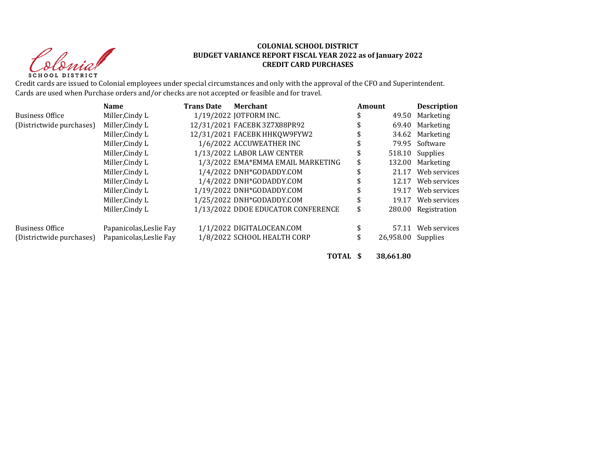Christ **SCHOOL DISTRICT** 

#### **COLONIAL SCHOOL DISTRICT BUDGET VARIANCE REPORT FISCAL YEAR 2022 as of January 2022 CREDIT CARD PURCHASES**

Credit cards are issued to Colonial employees under special circumstances and only with the approval of the CFO and Superintendent. Cards are used when Purchase orders and/or checks are not accepted or feasible and for travel.

|                          | <b>Name</b>             | <b>Trans Date</b> | Merchant                           | Amount |           | <b>Description</b> |
|--------------------------|-------------------------|-------------------|------------------------------------|--------|-----------|--------------------|
| <b>Business Office</b>   | Miller, Cindy L         |                   | 1/19/2022 JOTFORM INC.             |        |           | 49.50 Marketing    |
| (Districtwide purchases) | Miller, Cindy L         |                   | 12/31/2021 FACEBK 3Z7X88PR92       |        | 69.40     | Marketing          |
|                          | Miller, Cindy L         |                   | 12/31/2021 FACEBK HHKQW9FYW2       |        |           | 34.62 Marketing    |
|                          | Miller, Cindy L         |                   | 1/6/2022 ACCUWEATHER INC           |        |           | 79.95 Software     |
|                          | Miller, Cindy L         |                   | 1/13/2022 LABOR LAW CENTER         | \$     |           | 518.10 Supplies    |
|                          | Miller, Cindy L         |                   | 1/3/2022 EMA*EMMA EMAIL MARKETING  | \$     | 132.00    | Marketing          |
|                          | Miller, Cindy L         |                   | 1/4/2022 DNH*GODADDY.COM           |        | 21.17     | Web services       |
|                          | Miller, Cindy L         |                   | 1/4/2022 DNH*GODADDY.COM           |        | 12.17     | Web services       |
|                          | Miller, Cindy L         |                   | 1/19/2022 DNH*GODADDY.COM          |        | 19.17     | Web services       |
|                          | Miller, Cindy L         |                   | 1/25/2022 DNH*GODADDY.COM          | \$     | 19.17     | Web services       |
|                          | Miller, Cindy L         |                   | 1/13/2022 DDOE EDUCATOR CONFERENCE | \$     | 280.00    | Registration       |
| <b>Business Office</b>   | Papanicolas, Leslie Fay |                   | 1/1/2022 DIGITALOCEAN.COM          | \$     |           | 57.11 Web services |
| (Districtwide purchases) | Papanicolas, Leslie Fay |                   | 1/8/2022 SCHOOL HEALTH CORP        | \$     | 26,958.00 | Supplies           |
|                          |                         |                   |                                    |        |           |                    |

**TOTAL \$ 38,661.80**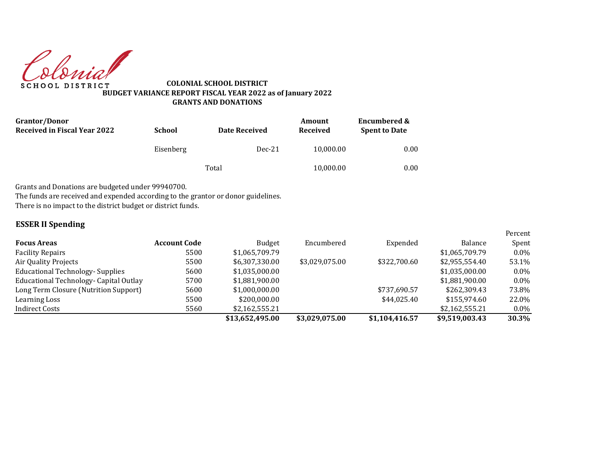Colonial **SCHOOL DISTRICT** 

**COLONIAL SCHOOL DISTRICT BUDGET VARIANCE REPORT FISCAL YEAR 2022 as of January 2022 GRANTS AND DONATIONS**

| <b>Grantor/Donor</b><br><b>Received in Fiscal Year 2022</b> | <b>School</b> | Date Received | Amount<br>Received | <b>Encumbered &amp;</b><br><b>Spent to Date</b> |  |
|-------------------------------------------------------------|---------------|---------------|--------------------|-------------------------------------------------|--|
|                                                             | Eisenberg     | $Dec-21$      | 10,000.00          | 0.00                                            |  |
|                                                             |               | Total         | 10,000.00          | 0.00                                            |  |

Grants and Donations are budgeted under 99940700.

The funds are received and expended according to the grantor or donor guidelines.

There is no impact to the district budget or district funds.

## **ESSER II Spending**

|                                         |                     |                 |                |                |                | Percent |
|-----------------------------------------|---------------------|-----------------|----------------|----------------|----------------|---------|
| <b>Focus Areas</b>                      | <b>Account Code</b> | <b>Budget</b>   | Encumbered     | Expended       | Balance        | Spent   |
| <b>Facility Repairs</b>                 | 5500                | \$1,065,709.79  |                |                | \$1,065,709.79 | $0.0\%$ |
| Air Quality Projects                    | 5500                | \$6,307,330.00  | \$3,029,075.00 | \$322,700.60   | \$2,955,554.40 | 53.1%   |
| <b>Educational Technology- Supplies</b> | 5600                | \$1,035,000.00  |                |                | \$1,035,000.00 | $0.0\%$ |
| Educational Technology- Capital Outlay  | 5700                | \$1,881,900.00  |                |                | \$1,881,900.00 | $0.0\%$ |
| Long Term Closure (Nutrition Support)   | 5600                | \$1,000,000.00  |                | \$737,690.57   | \$262.309.43   | 73.8%   |
| Learning Loss                           | 5500                | \$200,000,00    |                | \$44,025.40    | \$155,974,60   | 22.0%   |
| Indirect Costs                          | 5560                | \$2,162,555.21  |                |                | \$2,162,555.21 | $0.0\%$ |
|                                         |                     | \$13,652,495.00 | \$3,029,075.00 | \$1,104,416.57 | \$9,519,003.43 | 30.3%   |